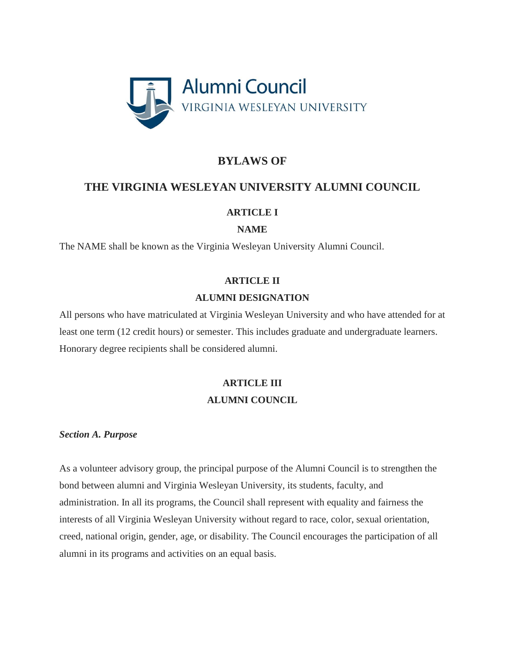

# **BYLAWS OF**

## **THE VIRGINIA WESLEYAN UNIVERSITY ALUMNI COUNCIL**

## **ARTICLE I**

## **NAME**

The NAME shall be known as the Virginia Wesleyan University Alumni Council.

## **ARTICLE II**

## **ALUMNI DESIGNATION**

All persons who have matriculated at Virginia Wesleyan University and who have attended for at least one term (12 credit hours) or semester. This includes graduate and undergraduate learners. Honorary degree recipients shall be considered alumni.

# **ARTICLE III ALUMNI COUNCIL**

## *Section A. Purpose*

As a volunteer advisory group, the principal purpose of the Alumni Council is to strengthen the bond between alumni and Virginia Wesleyan University, its students, faculty, and administration. In all its programs, the Council shall represent with equality and fairness the interests of all Virginia Wesleyan University without regard to race, color, sexual orientation, creed, national origin, gender, age, or disability. The Council encourages the participation of all alumni in its programs and activities on an equal basis.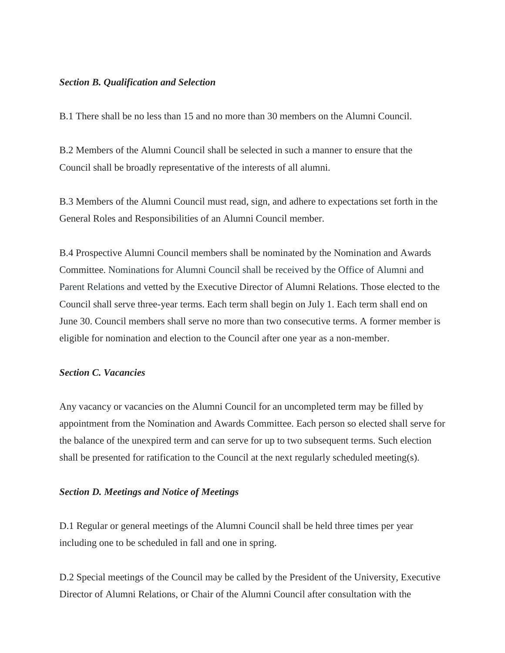#### *Section B. Qualification and Selection*

B.1 There shall be no less than 15 and no more than 30 members on the Alumni Council.

B.2 Members of the Alumni Council shall be selected in such a manner to ensure that the Council shall be broadly representative of the interests of all alumni.

B.3 Members of the Alumni Council must read, sign, and adhere to expectations set forth in the General Roles and Responsibilities of an Alumni Council member.

B.4 Prospective Alumni Council members shall be nominated by the Nomination and Awards Committee. Nominations for Alumni Council shall be received by the Office of Alumni and Parent Relations and vetted by the Executive Director of Alumni Relations. Those elected to the Council shall serve three-year terms. Each term shall begin on July 1. Each term shall end on June 30. Council members shall serve no more than two consecutive terms. A former member is eligible for nomination and election to the Council after one year as a non-member.

### *Section C. Vacancies*

Any vacancy or vacancies on the Alumni Council for an uncompleted term may be filled by appointment from the Nomination and Awards Committee. Each person so elected shall serve for the balance of the unexpired term and can serve for up to two subsequent terms. Such election shall be presented for ratification to the Council at the next regularly scheduled meeting(s).

#### *Section D. Meetings and Notice of Meetings*

D.1 Regular or general meetings of the Alumni Council shall be held three times per year including one to be scheduled in fall and one in spring.

D.2 Special meetings of the Council may be called by the President of the University, Executive Director of Alumni Relations, or Chair of the Alumni Council after consultation with the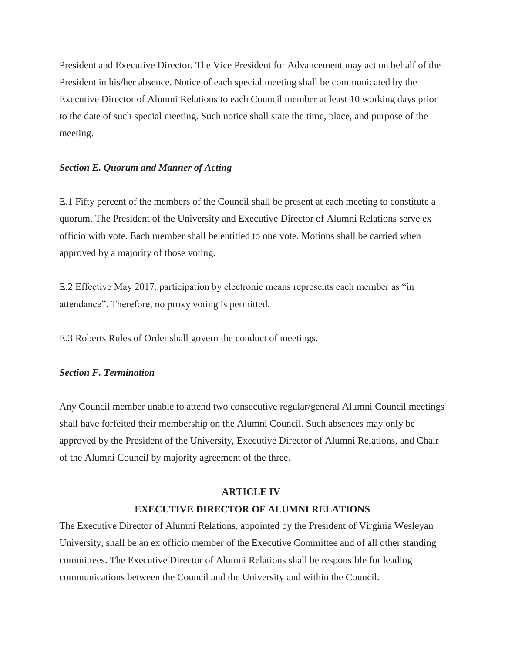President and Executive Director. The Vice President for Advancement may act on behalf of the President in his/her absence. Notice of each special meeting shall be communicated by the Executive Director of Alumni Relations to each Council member at least 10 working days prior to the date of such special meeting. Such notice shall state the time, place, and purpose of the meeting.

#### *Section E. Quorum and Manner of Acting*

E.1 Fifty percent of the members of the Council shall be present at each meeting to constitute a quorum. The President of the University and Executive Director of Alumni Relations serve ex officio with vote. Each member shall be entitled to one vote. Motions shall be carried when approved by a majority of those voting.

E.2 Effective May 2017, participation by electronic means represents each member as "in attendance". Therefore, no proxy voting is permitted.

E.3 Roberts Rules of Order shall govern the conduct of meetings.

### *Section F. Termination*

Any Council member unable to attend two consecutive regular/general Alumni Council meetings shall have forfeited their membership on the Alumni Council. Such absences may only be approved by the President of the University, Executive Director of Alumni Relations, and Chair of the Alumni Council by majority agreement of the three.

#### **ARTICLE IV**

### **EXECUTIVE DIRECTOR OF ALUMNI RELATIONS**

The Executive Director of Alumni Relations, appointed by the President of Virginia Wesleyan University, shall be an ex officio member of the Executive Committee and of all other standing committees. The Executive Director of Alumni Relations shall be responsible for leading communications between the Council and the University and within the Council.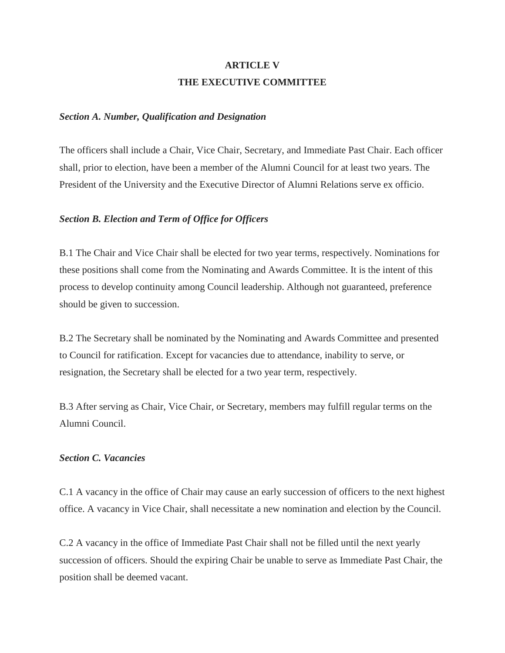# **ARTICLE V THE EXECUTIVE COMMITTEE**

#### *Section A. Number, Qualification and Designation*

The officers shall include a Chair, Vice Chair, Secretary, and Immediate Past Chair. Each officer shall, prior to election, have been a member of the Alumni Council for at least two years. The President of the University and the Executive Director of Alumni Relations serve ex officio.

#### *Section B. Election and Term of Office for Officers*

B.1 The Chair and Vice Chair shall be elected for two year terms, respectively. Nominations for these positions shall come from the Nominating and Awards Committee. It is the intent of this process to develop continuity among Council leadership. Although not guaranteed, preference should be given to succession.

B.2 The Secretary shall be nominated by the Nominating and Awards Committee and presented to Council for ratification. Except for vacancies due to attendance, inability to serve, or resignation, the Secretary shall be elected for a two year term, respectively.

B.3 After serving as Chair, Vice Chair, or Secretary, members may fulfill regular terms on the Alumni Council.

#### *Section C. Vacancies*

C.1 A vacancy in the office of Chair may cause an early succession of officers to the next highest office. A vacancy in Vice Chair, shall necessitate a new nomination and election by the Council.

C.2 A vacancy in the office of Immediate Past Chair shall not be filled until the next yearly succession of officers. Should the expiring Chair be unable to serve as Immediate Past Chair, the position shall be deemed vacant.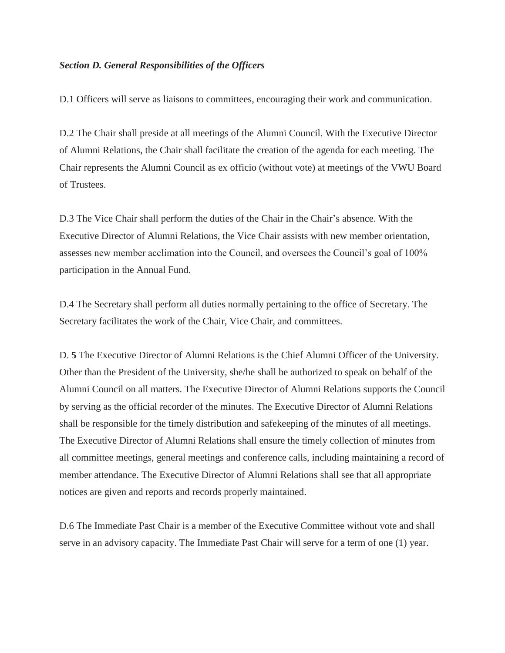### *Section D. General Responsibilities of the Officers*

D.1 Officers will serve as liaisons to committees, encouraging their work and communication.

D.2 The Chair shall preside at all meetings of the Alumni Council. With the Executive Director of Alumni Relations, the Chair shall facilitate the creation of the agenda for each meeting. The Chair represents the Alumni Council as ex officio (without vote) at meetings of the VWU Board of Trustees.

D.3 The Vice Chair shall perform the duties of the Chair in the Chair's absence. With the Executive Director of Alumni Relations, the Vice Chair assists with new member orientation, assesses new member acclimation into the Council, and oversees the Council's goal of 100% participation in the Annual Fund.

D.4 The Secretary shall perform all duties normally pertaining to the office of Secretary. The Secretary facilitates the work of the Chair, Vice Chair, and committees.

D. **5** The Executive Director of Alumni Relations is the Chief Alumni Officer of the University. Other than the President of the University, she/he shall be authorized to speak on behalf of the Alumni Council on all matters. The Executive Director of Alumni Relations supports the Council by serving as the official recorder of the minutes. The Executive Director of Alumni Relations shall be responsible for the timely distribution and safekeeping of the minutes of all meetings. The Executive Director of Alumni Relations shall ensure the timely collection of minutes from all committee meetings, general meetings and conference calls, including maintaining a record of member attendance. The Executive Director of Alumni Relations shall see that all appropriate notices are given and reports and records properly maintained.

D.6 The Immediate Past Chair is a member of the Executive Committee without vote and shall serve in an advisory capacity. The Immediate Past Chair will serve for a term of one (1) year.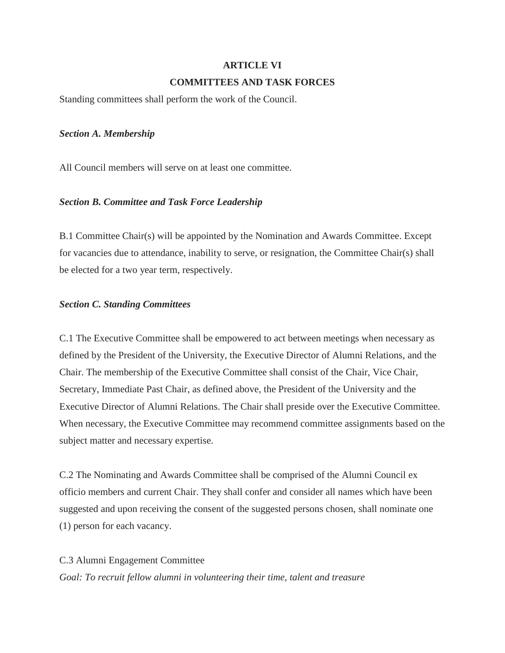# **ARTICLE VI COMMITTEES AND TASK FORCES**

Standing committees shall perform the work of the Council.

#### *Section A. Membership*

All Council members will serve on at least one committee.

### *Section B. Committee and Task Force Leadership*

B.1 Committee Chair(s) will be appointed by the Nomination and Awards Committee. Except for vacancies due to attendance, inability to serve, or resignation, the Committee Chair(s) shall be elected for a two year term, respectively.

### *Section C. Standing Committees*

C.1 The Executive Committee shall be empowered to act between meetings when necessary as defined by the President of the University, the Executive Director of Alumni Relations, and the Chair. The membership of the Executive Committee shall consist of the Chair, Vice Chair, Secretary, Immediate Past Chair, as defined above, the President of the University and the Executive Director of Alumni Relations. The Chair shall preside over the Executive Committee. When necessary, the Executive Committee may recommend committee assignments based on the subject matter and necessary expertise.

C.2 The Nominating and Awards Committee shall be comprised of the Alumni Council ex officio members and current Chair. They shall confer and consider all names which have been suggested and upon receiving the consent of the suggested persons chosen, shall nominate one (1) person for each vacancy.

### C.3 Alumni Engagement Committee

*Goal: To recruit fellow alumni in volunteering their time, talent and treasure*